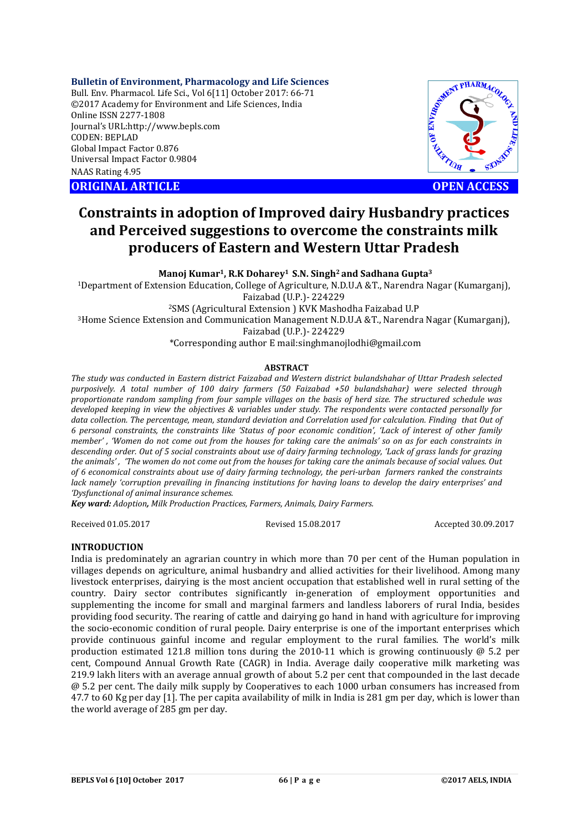#### **Bulletin of Environment, Pharmacology and Life Sciences**

Bull. Env. Pharmacol. Life Sci., Vol 6[11] October 2017: 66-71 ©2017 Academy for Environment and Life Sciences, India Online ISSN 2277-1808 Journal's URL:http://www.bepls.com CODEN: BEPLAD Global Impact Factor 0.876 Universal Impact Factor 0.9804 NAAS Rating 4.95 CORIGINAL ARTICLE<br>
ORIGINAL ARTICLE<br>
ORIGINAL ARTICLE<br>
ORIGINAL ARTICLE<br>
ORIGINAL ARTICLE<br>
ORIGINAL ARTICLE<br>
OPEN ACCESS



# **Constraints in adoption of Improved dairy Husbandry practices and Perceived suggestions to overcome the constraints milk producers of Eastern and Western Uttar Pradesh**

**Manoj Kumar1, R.K Doharey1 S.N. Singh2 and Sadhana Gupta3**

1Department of Extension Education, College of Agriculture, N.D.U.A &T., Narendra Nagar (Kumarganj), Faizabad (U.P.)- 224229

2SMS (Agricultural Extension ) KVK Mashodha Faizabad U.P

3Home Science Extension and Communication Management N.D.U.A &T., Narendra Nagar (Kumarganj),

Faizabad (U.P.)- 224229

\*Corresponding author E mail:singhmanojlodhi@gmail.com

## **ABSTRACT**

*The study was conducted in Eastern district Faizabad and Western district bulandshahar of Uttar Pradesh selected purposively. A total number of 100 dairy farmers (50 Faizabad +50 bulandshahar) were selected through proportionate random sampling from four sample villages on the basis of herd size. The structured schedule was developed keeping in view the objectives & variables under study. The respondents were contacted personally for data collection. The percentage, mean, standard deviation and Correlation used for calculation. Finding that Out of 6 personal constraints, the constraints like 'Status of poor economic condition', 'Lack of interest of other family member' , 'Women do not come out from the houses for taking care the animals' so on as for each constraints in descending order. Out of 5 social constraints about use of dairy farming technology, 'Lack of grass lands for grazing the animals' , 'The women do not come out from the houses for taking care the animals because of social values. Out of 6 economical constraints about use of dairy farming technology, the peri-urban farmers ranked the constraints lack namely 'corruption prevailing in financing institutions for having loans to develop the dairy enterprises' and 'Dysfunctional of animal insurance schemes.*

*Key ward: Adoption, Milk Production Practices, Farmers, Animals, Dairy Farmers.*

Received 01.05.2017 Revised 15.08.2017 Accepted 30.09.2017

## **INTRODUCTION**

India is predominately an agrarian country in which more than 70 per cent of the Human population in villages depends on agriculture, animal husbandry and allied activities for their livelihood. Among many livestock enterprises, dairying is the most ancient occupation that established well in rural setting of the country. Dairy sector contributes significantly in-generation of employment opportunities and supplementing the income for small and marginal farmers and landless laborers of rural India, besides providing food security. The rearing of cattle and dairying go hand in hand with agriculture for improving the socio-economic condition of rural people. Dairy enterprise is one of the important enterprises which provide continuous gainful income and regular employment to the rural families. The world's milk production estimated 121.8 million tons during the 2010-11 which is growing continuously  $\omega$  5.2 per cent, Compound Annual Growth Rate (CAGR) in India. Average daily cooperative milk marketing was 219.9 lakh liters with an average annual growth of about 5.2 per cent that compounded in the last decade @ 5.2 per cent. The daily milk supply by Cooperatives to each 1000 urban consumers has increased from 47.7 to 60 Kg per day [1]. The per capita availability of milk in India is 281 gm per day, which is lower than the world average of 285 gm per day.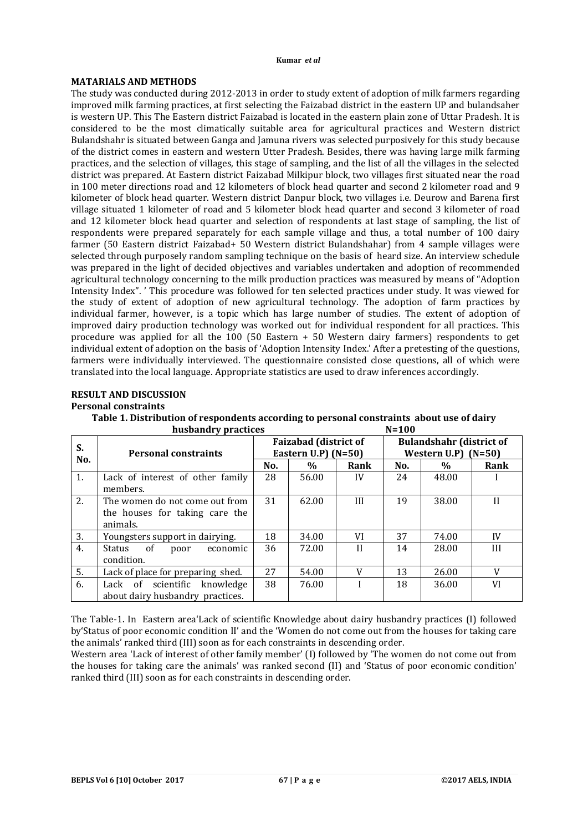## **MATARIALS AND METHODS**

The study was conducted during 2012-2013 in order to study extent of adoption of milk farmers regarding improved milk farming practices, at first selecting the Faizabad district in the eastern UP and bulandsaher is western UP. This The Eastern district Faizabad is located in the eastern plain zone of Uttar Pradesh. It is considered to be the most climatically suitable area for agricultural practices and Western district Bulandshahr is situated between Ganga and Jamuna rivers was selected purposively for this study because of the district comes in eastern and western Utter Pradesh. Besides, there was having large milk farming practices, and the selection of villages, this stage of sampling, and the list of all the villages in the selected district was prepared. At Eastern district Faizabad Milkipur block, two villages first situated near the road in 100 meter directions road and 12 kilometers of block head quarter and second 2 kilometer road and 9 kilometer of block head quarter. Western district Danpur block, two villages i.e. Deurow and Barena first village situated 1 kilometer of road and 5 kilometer block head quarter and second 3 kilometer of road and 12 kilometer block head quarter and selection of respondents at last stage of sampling, the list of respondents were prepared separately for each sample village and thus, a total number of 100 dairy farmer (50 Eastern district Faizabad+ 50 Western district Bulandshahar) from 4 sample villages were selected through purposely random sampling technique on the basis of heard size. An interview schedule was prepared in the light of decided objectives and variables undertaken and adoption of recommended agricultural technology concerning to the milk production practices was measured by means of "Adoption Intensity Index". ' This procedure was followed for ten selected practices under study. It was viewed for the study of extent of adoption of new agricultural technology. The adoption of farm practices by individual farmer, however, is a topic which has large number of studies. The extent of adoption of improved dairy production technology was worked out for individual respondent for all practices. This procedure was applied for all the 100 (50 Eastern + 50 Western dairy farmers) respondents to get individual extent of adoption on the basis of 'Adoption Intensity Index.' After a pretesting of the questions, farmers were individually interviewed. The questionnaire consisted close questions, all of which were translated into the local language. Appropriate statistics are used to draw inferences accordingly.

## **RESULT AND DISCUSSION**

## **Personal constraints**

| Table 1. Distribution of respondents according to personal constraints about use of dairy |           |
|-------------------------------------------------------------------------------------------|-----------|
| husbandry practices                                                                       | $N = 100$ |

| S.  | <b>Personal constraints</b>       |     | <b>Faizabad (district of</b><br>Eastern U.P) $(N=50)$ |              | <b>Bulandshahr (district of</b><br>Western $U.P$ (N=50) |               |         |
|-----|-----------------------------------|-----|-------------------------------------------------------|--------------|---------------------------------------------------------|---------------|---------|
| No. |                                   | No. | $\frac{0}{0}$                                         | Rank         | No.                                                     | $\frac{0}{0}$ | Rank    |
| 1.  | Lack of interest of other family  | 28  | 56.00                                                 | IV           | 24                                                      | 48.00         |         |
|     | members.                          |     |                                                       |              |                                                         |               |         |
| 2.  | The women do not come out from    | 31  | 62.00                                                 | III          | 19                                                      | 38.00         | $_{II}$ |
|     | the houses for taking care the    |     |                                                       |              |                                                         |               |         |
|     | animals.                          |     |                                                       |              |                                                         |               |         |
| 3.  | Youngsters support in dairying.   | 18  | 34.00                                                 | VI           | 37                                                      | 74.00         | IV      |
| 4.  | Status of poor economic           | 36  | 72.00                                                 | $\mathbf{I}$ | 14                                                      | 28.00         | III     |
|     | condition.                        |     |                                                       |              |                                                         |               |         |
| 5.  | Lack of place for preparing shed. | 27  | 54.00                                                 | V            | 13                                                      | 26.00         | V       |
| 6.  | Lack of scientific knowledge      | 38  | 76.00                                                 |              | 18                                                      | 36.00         | VI      |
|     | about dairy husbandry practices.  |     |                                                       |              |                                                         |               |         |

The Table-1. In Eastern area'Lack of scientific Knowledge about dairy husbandry practices (I) followed by'Status of poor economic condition II' and the 'Women do not come out from the houses for taking care the animals' ranked third (III) soon as for each constraints in descending order.

Western area 'Lack of interest of other family member' (I) followed by 'The women do not come out from the houses for taking care the animals' was ranked second (II) and 'Status of poor economic condition' ranked third (III) soon as for each constraints in descending order.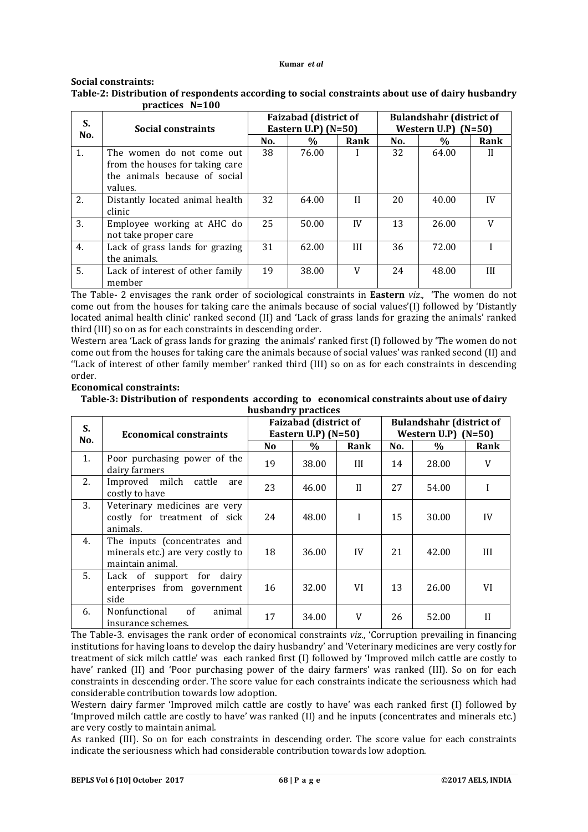## **Social constraints:**

| S.<br>No. | Social constraints                                                                                       |     | <b>Faizabad (district of</b><br>Eastern U.P) $(N=50)$ |              | <b>Bulandshahr</b> (district of<br>Western U.P) $(N=50)$ |               |      |  |  |
|-----------|----------------------------------------------------------------------------------------------------------|-----|-------------------------------------------------------|--------------|----------------------------------------------------------|---------------|------|--|--|
|           |                                                                                                          | No. | %                                                     | Rank         | No.                                                      | $\frac{0}{0}$ | Rank |  |  |
| 1.        | The women do not come out<br>from the houses for taking care<br>the animals because of social<br>values. | 38  | 76.00                                                 |              | 32                                                       | 64.00         | Н    |  |  |
| 2.        | Distantly located animal health<br>clinic                                                                | 32  | 64.00                                                 | $\mathbf{I}$ | 20                                                       | 40.00         | IV   |  |  |
| 3.        | Employee working at AHC do<br>not take proper care                                                       | 25  | 50.00                                                 | IV           | 13                                                       | 26.00         |      |  |  |
| 4.        | Lack of grass lands for grazing<br>the animals.                                                          | 31  | 62.00                                                 | Ш            | 36                                                       | 72.00         |      |  |  |
| 5.        | Lack of interest of other family<br>member                                                               | 19  | 38.00                                                 | V            | 24                                                       | 48.00         | Ш    |  |  |

## **Table-2: Distribution of respondents according to social constraints about use of dairy husbandry practices N=100**

The Table- 2 envisages the rank order of sociological constraints in **Eastern** *viz*., 'The women do not come out from the houses for taking care the animals because of social values'(I) followed by 'Distantly located animal health clinic' ranked second (II) and 'Lack of grass lands for grazing the animals' ranked third (III) so on as for each constraints in descending order.

Western area 'Lack of grass lands for grazing the animals' ranked first (I) followed by 'The women do not come out from the houses for taking care the animals because of social values' was ranked second (II) and ''Lack of interest of other family member' ranked third (III) so on as for each constraints in descending order.

## **Economical constraints:**

**Table-3: Distribution of respondents according to economical constraints about use of dairy husbandry practices**

| S.  | <b>Economical constraints</b>                                                         |     | <b>Faizabad (district of</b><br>Eastern U.P) $(N=50)$ |              | <b>Bulandshahr (district of</b><br>Western U.P)<br>$(N=50)$ |       |              |  |
|-----|---------------------------------------------------------------------------------------|-----|-------------------------------------------------------|--------------|-------------------------------------------------------------|-------|--------------|--|
| No. |                                                                                       | No. | $\%$                                                  | Rank         | No.                                                         | $\%$  | Rank         |  |
| 1.  | Poor purchasing power of the<br>dairy farmers                                         | 19  | 38.00                                                 | III          | 14                                                          | 28.00 | V            |  |
| 2.  | Improved milch cattle<br>are<br>costly to have                                        | 23  | 46.00                                                 | $\mathbf{H}$ | 27                                                          | 54.00 |              |  |
| 3.  | Veterinary medicines are very<br>costly for treatment of sick<br>animals.             | 24  | 48.00                                                 |              | 15                                                          | 30.00 | IV           |  |
| 4.  | The inputs (concentrates and<br>minerals etc.) are very costly to<br>maintain animal. | 18  | 36.00                                                 | IV           | 21                                                          | 42.00 | Ш            |  |
| 5.  | Lack of support for dairy<br>enterprises from government<br>side                      | 16  | 32.00                                                 | VI           | 13                                                          | 26.00 | VI           |  |
| 6.  | Nonfunctional<br>of<br>animal<br>insurance schemes.                                   | 17  | 34.00                                                 | V            | 26                                                          | 52.00 | $\mathbf{I}$ |  |

The Table-3. envisages the rank order of economical constraints *viz*., 'Corruption prevailing in financing institutions for having loans to develop the dairy husbandry' and 'Veterinary medicines are very costly for treatment of sick milch cattle' was each ranked first (I) followed by 'Improved milch cattle are costly to have' ranked (II) and 'Poor purchasing power of the dairy farmers' was ranked (III). So on for each constraints in descending order. The score value for each constraints indicate the seriousness which had considerable contribution towards low adoption.

Western dairy farmer 'Improved milch cattle are costly to have' was each ranked first (I) followed by 'Improved milch cattle are costly to have' was ranked (II) and he inputs (concentrates and minerals etc.) are very costly to maintain animal.

As ranked (III). So on for each constraints in descending order. The score value for each constraints indicate the seriousness which had considerable contribution towards low adoption.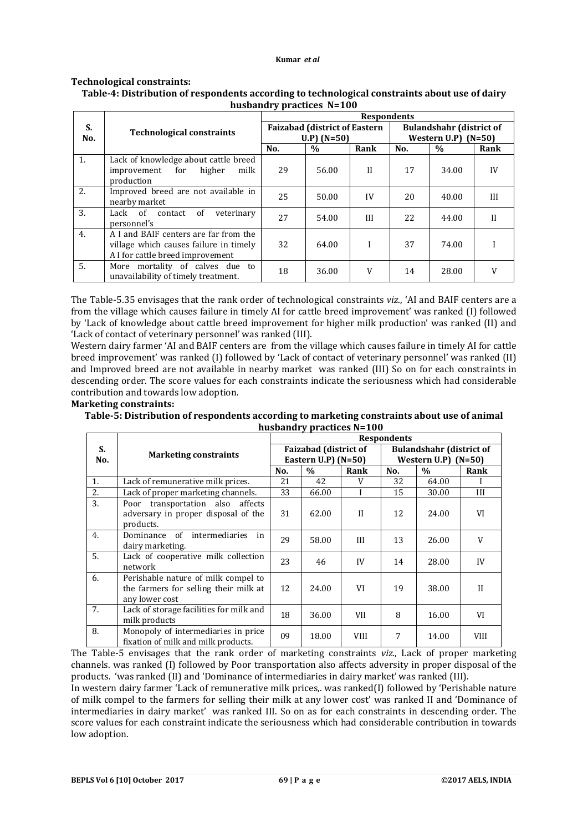## **Technological constraints:**

#### **S. No. Technological constraints Respondents Faizabad (district of Eastern U.P) (N=50) Bulandshahr (district of Western U.P)** (N=50)<br>No. 9% Rank **No. % Rank No. % Rank** 1. Lack of knowledge about cattle breed improvement for higher milk production 29 | 56.00 | II | 17 | 34.00 | IV 2. Improved breed are not available in mproved breed are not available in  $25$   $50.00$  IV  $20$   $40.00$  III 3. Lack of contact of veterinary<br>personnel's personnel's 27 54.00 III 22 44.00 II 4. A I and BAIF centers are far from the village which causes failure in timely A I for cattle breed improvement 32 64.00 I 37 74.00 I 5. More mortality of calves due to More mortality of calves due to  $\begin{array}{|c|c|c|c|c|c|c|c|c|} \hline \end{array}$  18  $\begin{array}{|c|c|c|c|c|c|c|c|} \hline \end{array}$  36.00 V  $\begin{array}{|c|c|c|c|c|c|c|c|} \hline \end{array}$  14  $\begin{array}{|c|c|c|c|c|c|} \hline \end{array}$  28.00 V  $\end{array}$

## **Table-4: Distribution of respondents according to technological constraints about use of dairy husbandry practices N=100**

The Table-5.35 envisages that the rank order of technological constraints *viz*., 'AI and BAIF centers are a from the village which causes failure in timely AI for cattle breed improvement' was ranked (I) followed by 'Lack of knowledge about cattle breed improvement for higher milk production' was ranked (II) and 'Lack of contact of veterinary personnel' was ranked (III).

Western dairy farmer 'AI and BAIF centers are from the village which causes failure in timely AI for cattle breed improvement' was ranked (I) followed by 'Lack of contact of veterinary personnel' was ranked (II) and Improved breed are not available in nearby market was ranked (III) So on for each constraints in descending order. The score values for each constraints indicate the seriousness which had considerable contribution and towards low adoption.

#### **Marketing constraints:**

**Table-5: Distribution of respondents according to marketing constraints about use of animal husbandry practices N=100**

|     | 11 <b>20081141, praecies</b> 11                                                                |                    |                              |              |                                 |       |              |  |  |
|-----|------------------------------------------------------------------------------------------------|--------------------|------------------------------|--------------|---------------------------------|-------|--------------|--|--|
|     | <b>Marketing constraints</b>                                                                   | <b>Respondents</b> |                              |              |                                 |       |              |  |  |
| S.  |                                                                                                |                    | <b>Faizabad (district of</b> |              | <b>Bulandshahr (district of</b> |       |              |  |  |
| No. |                                                                                                |                    | Eastern U.P) $(N=50)$        |              | Western $U.P$ (N=50)            |       |              |  |  |
|     | No.                                                                                            |                    | $\%$                         | Rank         | No.                             | $\%$  | Rank         |  |  |
| 1.  | Lack of remunerative milk prices.                                                              | 21                 | 42                           | V            | 32                              | 64.00 | $\mathbf{I}$ |  |  |
| 2.  | Lack of proper marketing channels.                                                             | 33                 | 66.00                        |              | 15                              | 30.00 | III          |  |  |
| 3.  | Poor transportation also affects<br>adversary in proper disposal of the<br>products.           | 31                 | 62.00                        | $\mathbf{H}$ | 12                              | 24.00 | VI           |  |  |
| 4.  | intermediaries<br>Dominance of<br>in<br>dairy marketing.                                       | 29                 | 58.00                        | III          | 13                              | 26.00 | V            |  |  |
| 5.  | Lack of cooperative milk collection<br>network                                                 | 23                 | 46                           | IV           | 14                              | 28.00 | IV           |  |  |
| 6.  | Perishable nature of milk compel to<br>the farmers for selling their milk at<br>any lower cost | 12                 | 24.00                        | VI           | 19                              | 38.00 | $\mathbf{I}$ |  |  |
| 7.  | Lack of storage facilities for milk and<br>milk products                                       | 18                 | 36.00                        | VII          | 8                               | 16.00 | VI           |  |  |
| 8.  | Monopoly of intermediaries in price<br>fixation of milk and milk products.                     | 09                 | 18.00                        | <b>VIII</b>  | 7                               | 14.00 | VIII         |  |  |

The Table-5 envisages that the rank order of marketing constraints *viz*., Lack of proper marketing channels. was ranked (I) followed by Poor transportation also affects adversity in proper disposal of the products. 'was ranked (II) and 'Dominance of intermediaries in dairy market' was ranked (III).

In western dairy farmer 'Lack of remunerative milk prices,. was ranked(I) followed by 'Perishable nature of milk compel to the farmers for selling their milk at any lower cost' was ranked II and 'Dominance of intermediaries in dairy market' was ranked III. So on as for each constraints in descending order. The score values for each constraint indicate the seriousness which had considerable contribution in towards low adoption.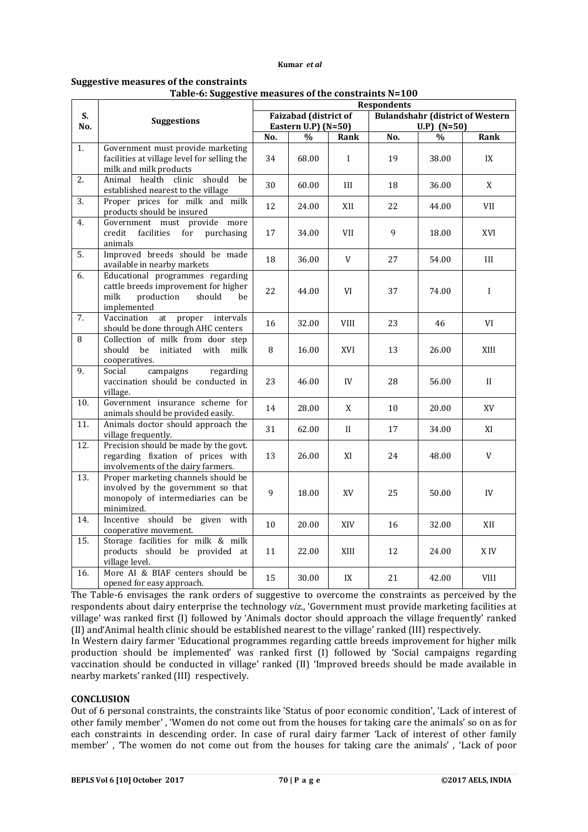#### **Suggestive measures of the constraints**

#### **Table-6: Suggestive measures of the constraints N=100**

|                   |                                                                                                                               | rable-o. Suggestive ineasures or the constraints N-100<br><b>Respondents</b> |               |              |                                                          |               |             |  |
|-------------------|-------------------------------------------------------------------------------------------------------------------------------|------------------------------------------------------------------------------|---------------|--------------|----------------------------------------------------------|---------------|-------------|--|
| S.<br>No.         | <b>Suggestions</b>                                                                                                            | <b>Faizabad</b> (district of<br>Eastern U.P) $(N=50)$                        |               |              | <b>Bulandshahr (district of Western</b><br>$U.P)$ (N=50) |               |             |  |
|                   |                                                                                                                               | No.                                                                          | $\frac{0}{0}$ | Rank         | No.                                                      | $\frac{0}{0}$ | Rank        |  |
| 1.                | Government must provide marketing<br>facilities at village level for selling the<br>milk and milk products                    | 34                                                                           | 68.00         | $\mathbf{I}$ | 19                                                       | 38.00         | IX          |  |
| 2.                | Animal health clinic<br>should<br>be<br>established nearest to the village                                                    | 30                                                                           | 60.00         | III          | 18                                                       | 36.00         | X           |  |
| $\overline{3}$ .  | Proper prices for milk and milk<br>products should be insured                                                                 | 12                                                                           | 24.00         | XII          | 22                                                       | 44.00         | VII         |  |
| 4.                | Government must provide more<br>for<br>credit<br>facilities<br>purchasing<br>animals                                          | 17                                                                           | 34.00         | <b>VII</b>   | 9                                                        | 18.00         | XVI         |  |
| 5.                | Improved breeds should be made<br>available in nearby markets                                                                 | 18                                                                           | 36.00         | V            | 27                                                       | 54.00         | III         |  |
| 6.                | Educational programmes regarding<br>cattle breeds improvement for higher<br>milk<br>production<br>should<br>be<br>implemented | 22                                                                           | 44.00         | VI           | 37                                                       | 74.00         | $\mathbf I$ |  |
| $\overline{7}$ .  | Vaccination<br>at proper intervals<br>should be done through AHC centers                                                      | 16                                                                           | 32.00         | <b>VIII</b>  | 23                                                       | 46            | VI          |  |
| 8                 | Collection of milk from door step<br>should<br>initiated<br>be<br>with<br>milk<br>cooperatives.                               | 8                                                                            | 16.00         | XVI          | 13                                                       | 26.00         | XIII        |  |
| 9.                | campaigns<br>Social<br>regarding<br>vaccination should be conducted in<br>village.                                            | 23                                                                           | 46.00         | IV           | 28                                                       | 56.00         | $\rm{II}$   |  |
| 10.               | Government insurance scheme for<br>animals should be provided easily.                                                         | 14                                                                           | 28.00         | X            | 10                                                       | 20.00         | XV          |  |
| 11.               | Animals doctor should approach the<br>village frequently.                                                                     | 31                                                                           | 62.00         | $\mathbf{I}$ | 17                                                       | 34.00         | XI          |  |
| 12.               | Precision should be made by the govt.<br>regarding fixation of prices with<br>involvements of the dairy farmers.              | 13                                                                           | 26.00         | XI           | 24                                                       | 48.00         | V           |  |
| 13.               | Proper marketing channels should be<br>involved by the government so that<br>monopoly of intermediaries can be<br>minimized.  | 9                                                                            | 18.00         | XV           | 25                                                       | 50.00         | IV          |  |
| 14.               | Incentive should<br>be given with<br>cooperative movement.                                                                    | 10                                                                           | 20.00         | XIV          | 16                                                       | 32.00         | XII         |  |
| $\overline{15}$ . | Storage facilities for milk & milk<br>products should be provided at<br>village level.                                        | 11                                                                           | 22.00         | XIII         | 12                                                       | 24.00         | X IV        |  |
| 16.               | More AI & BIAF centers should be<br>opened for easy approach.                                                                 | 15                                                                           | 30.00         | IX           | 21                                                       | 42.00         | VIII        |  |

The Table-6 envisages the rank orders of suggestive to overcome the constraints as perceived by the respondents about dairy enterprise the technology *viz*., 'Government must provide marketing facilities at village' was ranked first (I) followed by 'Animals doctor should approach the village frequently' ranked (II) and'Animal health clinic should be established nearest to the village' ranked (III) respectively.

In Western dairy farmer 'Educational programmes regarding cattle breeds improvement for higher milk production should be implemented' was ranked first (I) followed by 'Social campaigns regarding vaccination should be conducted in village' ranked (II) 'Improved breeds should be made available in nearby markets' ranked (III) respectively.

#### **CONCLUSION**

Out of 6 personal constraints, the constraints like 'Status of poor economic condition', 'Lack of interest of other family member' , 'Women do not come out from the houses for taking care the animals' so on as for each constraints in descending order. In case of rural dairy farmer 'Lack of interest of other family member' , 'The women do not come out from the houses for taking care the animals' , 'Lack of poor